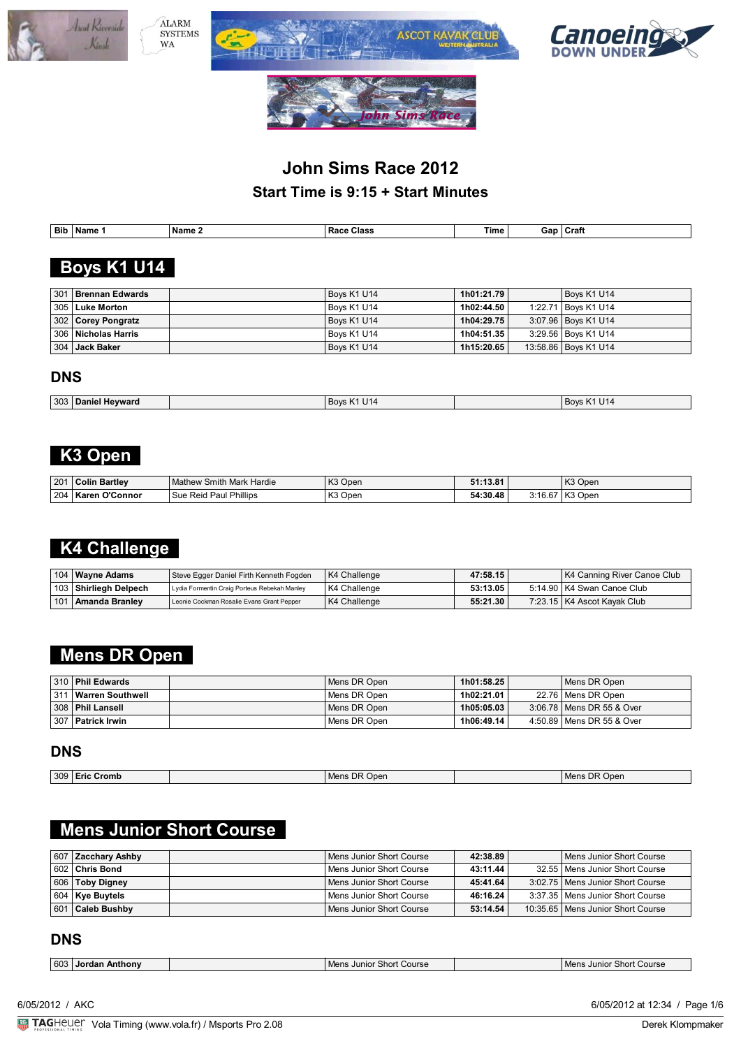







| <b>Bib</b> | Name | ' Name . | Class<br>. .<br>.<br>. Racc<br>. | Time | Gar | <b>Craf</b> |
|------------|------|----------|----------------------------------|------|-----|-------------|

# **Boys K1 U14**

| 301 Brennan Edwards      | Boys K1 U14 | 1h01:21.79 | Boys K1 U14            |
|--------------------------|-------------|------------|------------------------|
| ∣ 305 ∣ Luke Morton      | Bovs K1 U14 | 1h02:44.50 | 1:22.71 Boys K1 U14    |
| 302 Corey Pongratz       | Boys K1 U14 | 1h04:29.75 | 3:07.96   Boys K1 U14  |
| ∣ 306 ∣ Nicholas Harris∣ | Bovs K1 U14 | 1h04:51.35 | 3:29.56   Boys K1 U14  |
| ∣ 304 ∣ Jack Baker       | Boys K1 U14 | 1h15:20.65 | 13:58.86   Boys K1 U14 |

### **DNS**

| 303<br>Hevward<br>Daniel | .<br>~יחאי<br>U⊺4 | U14<br><b>BOVS</b> |
|--------------------------|-------------------|--------------------|

# **K3 Open**

| 201 | <b>Bartley</b><br>Colin    | / Smith Mark Hardie<br>Mathew            | K <sub>3</sub> Open | .<br>.<br>ه.د |                  | K <sub>3</sub> Open<br>NJ.    |
|-----|----------------------------|------------------------------------------|---------------------|---------------|------------------|-------------------------------|
| 204 | $\sim$<br>'Connor<br>Karen | Phillips<br>Sue<br>منم ب<br>⊇aul<br>REIL | 1172<br>Oper<br>n J | 54:30.48      | $\sim$<br>3:16.6 | K <sub>3</sub> Open<br>$\sim$ |

# **K4 Challenge**

| 104   Wayne Adams     | Steve Egger Daniel Firth Kenneth Fogden      | K4 Challenge | 47:58.15 | K4 Canning River Canoe Club   |
|-----------------------|----------------------------------------------|--------------|----------|-------------------------------|
| 103 Shirliegh Delpech | Lydia Formentin Craig Porteus Rebekah Manley | K4 Challenge | 53:13.05 | 5:14.90   K4 Swan Canoe Club  |
| 101   Amanda Branley  | Leonie Cockman Rosalie Evans Grant Pepper    | K4 Challenge | 55:21.30 | 7:23.15   K4 Ascot Kayak Club |

# **Mens DR Open**

| 310 Phil Edwards       | Mens DR Open | 1h01:58.25 | Mens DR Open                |
|------------------------|--------------|------------|-----------------------------|
| 311   Warren Southwell | Mens DR Open | 1h02:21.01 | 22.76   Mens DR Open        |
| 308   Phil Lansell     | Mens DR Open | 1h05:05.03 | 3:06.78   Mens DR 55 & Over |
| 307   Patrick Irwin    | Mens DR Open | 1h06:49.14 | 4:50.89   Mens DR 55 & Over |

### **DNS**

| 309 <br>Eric<br>Cromb | Open<br>~~<br><b>IVIL</b> | Onen<br>, Mer |
|-----------------------|---------------------------|---------------|

# **Mens Junior Short Course**

|     | $ 607 $ Zacchary Ashby | Mens Junior Short Course   | 42:38.89 | Mens Junior Short Course            |
|-----|------------------------|----------------------------|----------|-------------------------------------|
|     | 602 Chris Bond         | Mens Junior Short Course   | 43:11.44 | 32.55   Mens Junior Short Course    |
|     | 606   Toby Digney      | l Mens Junior Short Course | 45:41.64 | 3:02.75   Mens Junior Short Course  |
|     | 604   Kye Buytels      | Mens Junior Short Course   | 46:16.24 | 3:37.35   Mens Junior Short Course  |
| 601 | <b>Caleb Bushby</b>    | l Mens Junior Short Course | 53:14.54 | 10:35.65   Mens Junior Short Course |

### **DNS**

| 603 | <b>Jordan</b><br>Anthonv | Course<br>, Junior<br>short.<br>Mens | Shor'<br>Course<br>Mens<br>. Juni<br>n |
|-----|--------------------------|--------------------------------------|----------------------------------------|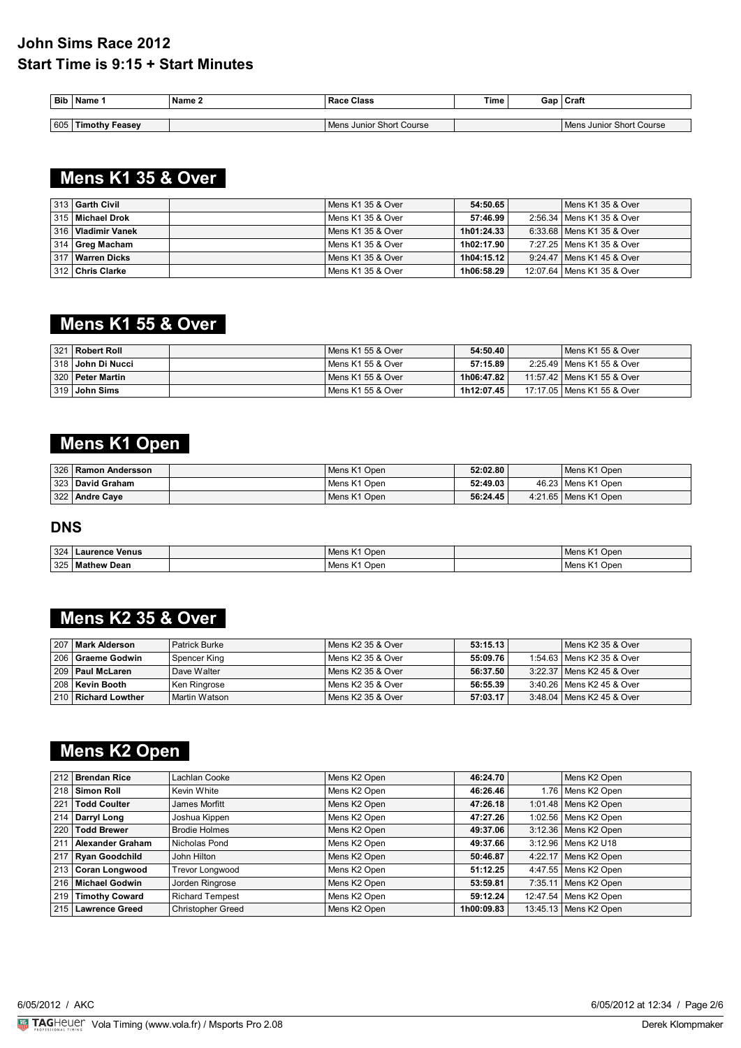| <b>Bib</b> | Name                  | Name 2 | Class<br>Race            | <b>Time</b> | Gan | Craft                    |
|------------|-----------------------|--------|--------------------------|-------------|-----|--------------------------|
|            |                       |        |                          |             |     |                          |
| 605        | <b>Timothy Feasey</b> |        | Mens Junior Short Course |             |     | Mens Junior Short Course |

# **Mens K1 35 & Over**

| 313   Garth Civil    | Mens K1 35 & Over | 54:50.65   | Mens K1 35 & Over            |
|----------------------|-------------------|------------|------------------------------|
| 315   Michael Drok   | Mens K1 35 & Over | 57:46.99   | 2:56.34   Mens K1 35 & Over  |
| 316   Vladimir Vanek | Mens K1 35 & Over | 1h01:24.33 | 6:33.68   Mens K1 35 & Over  |
| 314 Greg Macham      | Mens K1 35 & Over | 1h02:17.90 | 7:27.25   Mens K1 35 & Over  |
| 317   Warren Dicks   | Mens K1 35 & Over | 1h04:15.12 | 9:24.47   Mens K1 45 & Over  |
| 312 Chris Clarke     | Mens K1 35 & Over | 1h06:58.29 | 12:07.64   Mens K1 35 & Over |

# **Mens K1 55 & Over**

| 321 Robert Roll       | Mens K1 55 & Over   | 54:50.40   | Mens K1 55 & Over            |
|-----------------------|---------------------|------------|------------------------------|
| ∣ 318 ∣ John Di Nucci | l Mens K1 55 & Over | 57:15.89   | 2:25.49   Mens K1 55 & Over  |
| 320   Peter Martin    | l Mens K1 55 & Over | 1h06:47.82 | 11:57.42   Mens K1 55 & Over |
| 319 John Sims         | l Mens K1 55 & Over | 1h12:07.45 | 17:17.05   Mens K1 55 & Over |

# **Mens K1 Open**

| 326   Ramon Andersson | Mens K1 Open | 52:02.80 | Mens K1 Open           |
|-----------------------|--------------|----------|------------------------|
| 323 David Graham      | Mens K1 Open | 52:49.03 | 46.23   Mens K1 Open   |
| 322 Andre Caye        | Mens K1 Open | 56:24.45 | 4:21.65   Mens K1 Open |

### **DNS**

| 324 | <b>Laurence Venus</b> | $\mathcal{L}$<br>Open<br>Mens K1 | Open<br>Mens l |
|-----|-----------------------|----------------------------------|----------------|
| 325 | ' Dean<br>Mathew      | .<br>Open<br>Mens K              | Open<br>Mens   |

## **Mens K2 35 & Over**

| 207 Mark Alderson   | Patrick Burke   | Mens K2 35 & Over   | 53:15.13 | l Mens K2 35 & Over         |
|---------------------|-----------------|---------------------|----------|-----------------------------|
| 206   Graeme Godwin | Spencer King    | Mens K2 35 & Over   | 55:09.76 | 1:54.63   Mens K2 35 & Over |
| 209   Paul McLaren  | Dave Walter     | l Mens K2 35 & Over | 56:37.50 | 3:22.37   Mens K2 45 & Over |
| ∣ 208 ∣ Kevin Booth | Ken Ringrose    | Mens K2 35 & Over   | 56:55.39 | 3:40.26   Mens K2 45 & Over |
| 210 Richard Lowther | l Martin Watson | l Mens K2 35 & Over | 57:03.17 | 3:48.04   Mens K2 45 & Over |

# **Mens K2 Open**

|     | 212 Brendan Rice     | Lachlan Cooke            | Mens K2 Open | 46:24.70   | Mens K2 Open            |
|-----|----------------------|--------------------------|--------------|------------|-------------------------|
|     | 218   Simon Roll     | Kevin White              | Mens K2 Open | 46:26.46   | 1.76   Mens K2 Open     |
| 221 | <b>Todd Coulter</b>  | James Morfitt            | Mens K2 Open | 47:26.18   | 1:01.48   Mens K2 Open  |
|     | 214 Darryl Long      | Joshua Kippen            | Mens K2 Open | 47:27.26   | 1:02.56   Mens K2 Open  |
|     | 220 Todd Brewer      | <b>Brodie Holmes</b>     | Mens K2 Open | 49:37.06   | 3:12.36   Mens K2 Open  |
| 211 | Alexander Graham     | Nicholas Pond            | Mens K2 Open | 49:37.66   | 3:12.96   Mens K2 U18   |
|     | 217 Ryan Goodchild   | John Hilton              | Mens K2 Open | 50:46.87   | 4:22.17   Mens K2 Open  |
|     | 213 Coran Longwood   | <b>Trevor Longwood</b>   | Mens K2 Open | 51:12.25   | 4:47.55   Mens K2 Open  |
|     | 216   Michael Godwin | Jorden Ringrose          | Mens K2 Open | 53:59.81   | 7:35.11   Mens K2 Open  |
|     | 219 Timothy Coward   | <b>Richard Tempest</b>   | Mens K2 Open | 59:12.24   | 12:47.54   Mens K2 Open |
|     | 215 Lawrence Greed   | <b>Christopher Greed</b> | Mens K2 Open | 1h00:09.83 | 13:45.13 Mens K2 Open   |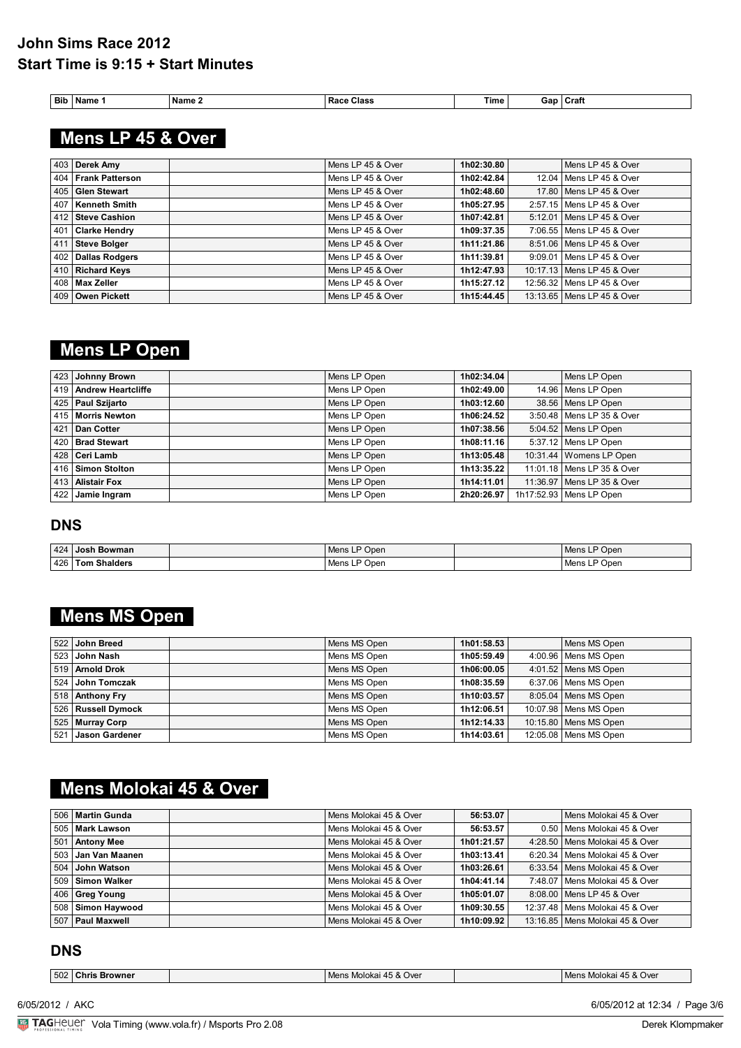| <b>Bib</b><br>__ | Name | Name | Class<br>$1200 -$<br><b>Racc</b><br>. | Гіmе |  | лат |
|------------------|------|------|---------------------------------------|------|--|-----|
|------------------|------|------|---------------------------------------|------|--|-----|

 **Mens LP 45 & Over** 

| 403 Derek Amy       | Mens LP 45 & Over | 1h02:30.80 | Mens LP 45 & Over            |
|---------------------|-------------------|------------|------------------------------|
| 404 Frank Patterson | Mens LP 45 & Over | 1h02:42.84 | 12.04   Mens LP 45 & Over    |
| 405 Glen Stewart    | Mens LP 45 & Over | 1h02:48.60 | 17.80   Mens LP 45 & Over    |
| 407   Kenneth Smith | Mens LP 45 & Over | 1h05:27.95 | 2:57.15   Mens LP 45 & Over  |
| 412   Steve Cashion | Mens LP 45 & Over | 1h07:42.81 | 5:12.01   Mens LP 45 & Over  |
| 401 Clarke Hendry   | Mens LP 45 & Over | 1h09:37.35 | 7:06.55   Mens LP 45 & Over  |
| 411 Steve Bolger    | Mens LP 45 & Over | 1h11:21.86 | 8:51.06   Mens LP 45 & Over  |
| 402 Dallas Rodgers  | Mens LP 45 & Over | 1h11:39.81 | 9:09.01   Mens LP 45 & Over  |
| 410 Richard Keys    | Mens LP 45 & Over | 1h12:47.93 | 10:17.13   Mens LP 45 & Over |
| 408   Max Zeller    | Mens LP 45 & Over | 1h15:27.12 | 12:56.32   Mens LP 45 & Over |
| 409 Owen Pickett    | Mens LP 45 & Over | 1h15:44.45 | 13:13.65   Mens LP 45 & Over |

## **Mens LP Open**

| 423 Johnny Brown         | Mens LP Open | 1h02:34.04 | Mens LP Open                 |
|--------------------------|--------------|------------|------------------------------|
| 419   Andrew Heartcliffe | Mens LP Open | 1h02:49.00 | 14.96   Mens LP Open         |
| 425   Paul Szijarto      | Mens LP Open | 1h03:12.60 | 38.56 Mens LP Open           |
| 415   Morris Newton      | Mens LP Open | 1h06:24.52 | 3:50.48   Mens LP 35 & Over  |
| 421   Dan Cotter         | Mens LP Open | 1h07:38.56 | 5:04.52 Mens LP Open         |
| 420 Brad Stewart         | Mens LP Open | 1h08:11.16 | $5:37.12$ Mens LP Open       |
| ∣ 428 ∣ Ceri Lamb        | Mens LP Open | 1h13:05.48 | 10:31.44   Womens LP Open    |
| 416 Simon Stolton        | Mens LP Open | 1h13:35.22 | 11:01.18   Mens LP 35 & Over |
| 413   Alistair Fox       | Mens LP Open | 1h14:11.01 | 11:36.97   Mens LP 35 & Over |
| 422 Jamie Ingram         | Mens LP Open | 2h20:26.97 | 1h17:52.93   Mens LP Open    |

### **DNS**

| 424 | ∃Josh Bowman           | Open <sup>ב</sup><br>Mens Ll       | P Open<br>Mens L            |
|-----|------------------------|------------------------------------|-----------------------------|
| 426 | <b>Shalders</b><br>Tom | Open<br>$M$ na<br><b>IVIENS LI</b> | Open <sup>כ</sup><br>Mens L |

# **Mens MS Open**

| 522 John Breed       | Mens MS Open | 1h01:58.53 | Mens MS Open            |
|----------------------|--------------|------------|-------------------------|
| ∣ 523 ∣ John Nash    | Mens MS Open | 1h05:59.49 | $4:00.96$ Mens MS Open  |
| 519 Arnold Drok      | Mens MS Open | 1h06:00.05 | $4:01.52$ Mens MS Open  |
| 524 John Tomczak     | Mens MS Open | 1h08:35.59 | 6:37.06   Mens MS Open  |
| 518 Anthony Fry      | Mens MS Open | 1h10:03.57 | 8:05.04   Mens MS Open  |
| 526   Russell Dymock | Mens MS Open | 1h12:06.51 | 10:07.98   Mens MS Open |
| 525 Murray Corp      | Mens MS Open | 1h12:14.33 | 10:15.80   Mens MS Open |
| 521 Jason Gardener   | Mens MS Open | 1h14:03.61 | 12:05.08   Mens MS Open |

# **Mens Molokai 45 & Over**

| 506   Martin Gunda   | Mens Molokai 45 & Over | 56:53.07   | Mens Molokai 45 & Over            |
|----------------------|------------------------|------------|-----------------------------------|
| 505   Mark Lawson    | Mens Molokai 45 & Over | 56:53.57   | 0.50 Mens Molokai 45 & Over       |
| 501 Antony Mee       | Mens Molokai 45 & Over | 1h01:21.57 | 4:28.50   Mens Molokai 45 & Over  |
| 503   Jan Van Maanen | Mens Molokai 45 & Over | 1h03:13.41 | 6:20.34   Mens Molokai 45 & Over  |
| 504 John Watson      | Mens Molokai 45 & Over | 1h03:26.61 | 6:33.54   Mens Molokai 45 & Over  |
| 509   Simon Walker   | Mens Molokai 45 & Over | 1h04:41.14 | 7:48.07   Mens Molokai 45 & Over  |
| 406 Greg Young       | Mens Molokai 45 & Over | 1h05:01.07 | 8:08.00   Mens LP 45 & Over       |
| 508 Simon Haywood    | Mens Molokai 45 & Over | 1h09:30.55 | 12:37.48   Mens Molokai 45 & Over |
| 507 Paul Maxwell     | Mens Molokai 45 & Over | 1h10:09.92 | 13:16.85   Mens Molokai 45 & Over |

### **DNS**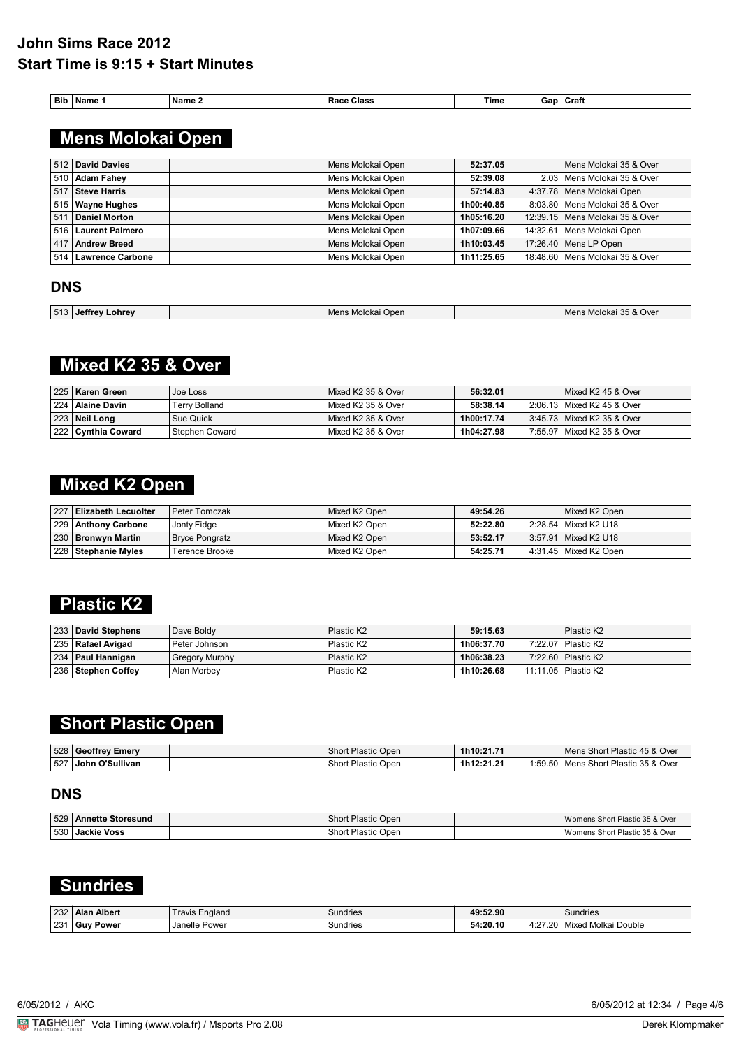| <b>The Allen</b><br>: Name<br><b>Class</b><br>Bib<br><b>Fime</b><br>Race<br>. Name | .an<br>uac | Craft |
|------------------------------------------------------------------------------------|------------|-------|
|------------------------------------------------------------------------------------|------------|-------|

# **Mens Molokai Open**

|     | 512 David Davies     | Mens Molokai Open | 52:37.05   | Mens Molokai 35 & Over            |
|-----|----------------------|-------------------|------------|-----------------------------------|
|     | 510   Adam Fahev     | Mens Molokai Open | 52:39.08   | 2.03   Mens Molokai 35 & Over     |
|     | 517   Steve Harris   | Mens Molokai Open | 57:14.83   | 4:37.78   Mens Molokai Open       |
|     | 515   Wayne Hughes   | Mens Molokai Open | 1h00:40.85 | 8:03.80 Mens Molokai 35 & Over    |
|     | 511 Daniel Morton    | Mens Molokai Open | 1h05:16.20 | 12:39.15   Mens Molokai 35 & Over |
|     | 516 Laurent Palmero  | Mens Molokai Open | 1h07:09.66 | 14:32.61   Mens Molokai Open      |
| 417 | Andrew Breed         | Mens Molokai Open | 1h10:03.45 | 17:26.40 Mens LP Open             |
|     | 514 Lawrence Carbone | Mens Molokai Open | 1h11:25.65 | 18:48.60   Mens Molokai 35 & Over |

### **DNS**

| 513 | ∟ohrev<br><b>Jeffrey</b> | : Molokai<br>Open<br><b>Mane</b><br>- | $\sim$ $\sim$<br>& Over<br>วlokai<br>"∥ene" |
|-----|--------------------------|---------------------------------------|---------------------------------------------|
|     |                          |                                       |                                             |

# **Mixed K2 35 & Over**

| ∣ 225 ∣ Karen Green  | Joe Loss       | Mixed K2 35 & Over   | 56:32.01   | Mixed K2 45 & Over           |
|----------------------|----------------|----------------------|------------|------------------------------|
| 224   Alaine Davin   | Terrv Bolland  | l Mixed K2 35 & Over | 58:38.14   | 2:06.13 Mixed K2 45 & Over   |
| 223   Neil Long      | Sue Quick      | l Mixed K2 35 & Over | 1h00:17.74 | 3:45.73   Mixed K2 35 & Over |
| 222   Cynthia Coward | Stephen Coward | l Mixed K2 35 & Over | 1h04:27.98 | 7:55.97   Mixed K2 35 & Over |

## **Mixed K2 Open**

| 227 Elizabeth Lecuolter | l Peter Tomczak | Mixed K2 Open | 49:54.26 | Mixed K2 Open           |
|-------------------------|-----------------|---------------|----------|-------------------------|
| 229 Anthony Carbone     | Jonty Fidge     | Mixed K2 Open | 52:22.80 | 2:28.54   Mixed K2 U18  |
| 230 Bronwyn Martin      | Bryce Pongratz  | Mixed K2 Open | 53:52.17 | 3:57.91   Mixed K2 U18  |
| 228   Stephanie Myles   | Terence Brooke  | Mixed K2 Open | 54:25.71 | 4:31.45   Mixed K2 Open |

### **Plastic K2**

| 233 David Stephens   | Dave Boldy            | Plastic K2             | 59:15.63   | Plastic K2            |
|----------------------|-----------------------|------------------------|------------|-----------------------|
| 235   Rafael Avigad  | Peter Johnson         | Plastic K2             | 1h06:37.70 | 7:22.07   Plastic K2  |
| 234   Paul Hannigan  | <b>Gregory Murphy</b> | Plastic K <sub>2</sub> | 1h06:38.23 | 7:22.60   Plastic K2  |
| 236   Stephen Coffev | Alan Morbey           | Plastic K2             | 1h10:26.68 | 11:11.05   Plastic K2 |

## **Short Plastic Open**

| 528 | ⊟ Geoffrev Emerv          | Short<br>: Open<br>Plastic | 1h10:21.71 |         | * Plastic 45 & Over<br>Mens Short I  |
|-----|---------------------------|----------------------------|------------|---------|--------------------------------------|
| 527 | <b>つ'Sullivan</b><br>John | Shon<br>Open<br>Plastic    | 1h12:21.21 | 1:59.50 | ! Plastic 35 & Over<br>Short<br>Mens |

### **DNS**

| 529   Annette Storesund | Short<br>t Plastic Open | Womens Short Plastic 35 & Over   |
|-------------------------|-------------------------|----------------------------------|
| 530 Jackie Voss         | : Plastic Open<br>Short | l Womens Short Plastic 35 & Over |

### **Sundries**

| 232 | Alber<br>' Alan | -naland<br>ravis | Sundries | :52.90<br>۸۵۰ |                                 | Sundries                   |
|-----|-----------------|------------------|----------|---------------|---------------------------------|----------------------------|
| 231 | Guy<br>Power    | Power<br>Janelle | undries  | 54:20.10      | $\sim$<br>$\sim$ $\sim$<br>г. д | Double<br>* Molka.<br>Mixr |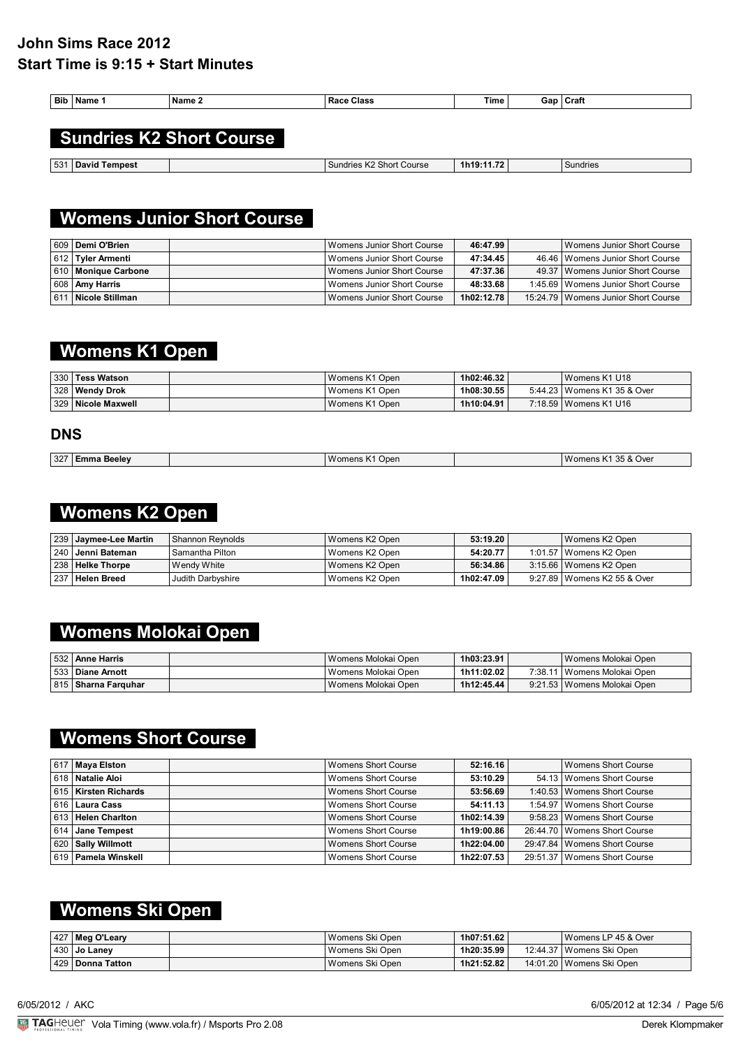| Bib | Name 1 | Name 2                          | <b>Race Class</b> | Time | Gap I | Craft |
|-----|--------|---------------------------------|-------------------|------|-------|-------|
|     |        |                                 |                   |      |       |       |
|     |        | <b>Sundries K2 Short Course</b> |                   |      |       |       |

**531 David Tempest** Sundries K2 Short Course **1h19:11.72** Sundries K2 Short Course 1h19:11.72

## **Womens Junior Short Course**

|     | 609   Demi O'Brien      | Womens Junior Short Course   | 46:47.99   | Womens Junior Short Course            |
|-----|-------------------------|------------------------------|------------|---------------------------------------|
|     | 612   Tyler Armenti     | Womens Junior Short Course   | 47:34.45   | 46.46   Womens Junior Short Course    |
|     | ∣ 610   Monique Carbone | Womens Junior Short Course   | 47:37.36   | 49.37   Womens Junior Short Course    |
|     | 608   Amy Harris        | l Womens Junior Short Course | 48:33.68   | 1:45.69   Womens Junior Short Course  |
| 611 | Nicole Stillman         | Womens Junior Short Course   | 1h02:12.78 | 15:24.79   Womens Junior Short Course |

# **Womens K1 Open**

| 330   Tess Watson    | Womens K1 Open | 1h02:46.32 | Womens K1 U18                 |
|----------------------|----------------|------------|-------------------------------|
| 328   Wendy Drok     | Womens K1 Open | 1h08:30.55 | 5:44.23   Womens K1 35 & Over |
| 329   Nicole Maxwell | Womens K1 Open | 1h10:04.91 | 7:18.59   Womens K1 U16       |

### **DNS**

| 327 | Beelev<br>∼mm. | Womens <sub>N</sub><br>Open | 35 & Over<br>omens<br>$\sim$ 1.1. $\sim$ |
|-----|----------------|-----------------------------|------------------------------------------|
|     |                |                             |                                          |

### **Womens K2 Open**

| 239 Jaymee-Lee Martin | Shannon Revnolds  | l Womens K2 Open | 53:19.20   | Womens K2 Open                |
|-----------------------|-------------------|------------------|------------|-------------------------------|
| ∣ 240 ∣ Jenni Bateman | Samantha Pilton   | l Womens K2 Open | 54:20.77   | 1:01.57   Womens K2 Open      |
| 238 Helke Thorpe      | l Wendy White     | l Womens K2 Open | 56:34.86   | 3:15.66   Womens K2 Open      |
| 237 Helen Breed       | Judith Darbyshire | l Womens K2 Open | 1h02:47.09 | 9:27.89   Womens K2 55 & Over |

# **Womens Molokai Open**

| 532   Anne Harris            | Womens Molokai Open   | 1h03:23.91 | Womens Molokai Open           |
|------------------------------|-----------------------|------------|-------------------------------|
| 533   Diane Arnott           | l Womens Molokai Open | 1h11:02.02 | 7:38.11   Womens Molokai Open |
| 815 <b>  Sharna Farquhar</b> | Womens Molokai Open   | 1h12:45.44 | 9:21.53   Womens Molokai Open |

## **Womens Short Course**

| 617   Mava Elston       | Womens Short Course        | 52:16.16   | Womens Short Course            |
|-------------------------|----------------------------|------------|--------------------------------|
| ∣618   Natalie Aloi     | Womens Short Course        | 53:10.29   | 54.13 Womens Short Course      |
| 615 Kirsten Richards    | Womens Short Course        | 53:56.69   | 1:40.53   Womens Short Course  |
| 616   Laura Cass        | Womens Short Course        | 54:11.13   | 1:54.97   Womens Short Course  |
| 613 Helen Charlton      | Womens Short Course        | 1h02:14.39 | 9:58.23 Womens Short Course    |
| 614 Jane Tempest        | Womens Short Course        | 1h19:00.86 | 26:44.70 Womens Short Course   |
| 620   Sally Willmott    | Womens Short Course        | 1h22:04.00 | 29:47.84   Womens Short Course |
| ∣ 619   Pamela Winskell | <b>Womens Short Course</b> | 1h22:07.53 | 29:51.37 Womens Short Course   |

## **Womens Ski Open**

| $ 427 $ Meg O'Leary | Womens Ski Open   | 1h07:51.62 | Womens LP 45 & Over        |
|---------------------|-------------------|------------|----------------------------|
| $ 430 $ Jo Laney    | ' Womens Ski Open | 1h20:35.99 | 12:44.37   Womens Ski Open |
| 429   Donna Tatton  | Womens Ski Open   | 1h21:52.82 | 14:01.20   Womens Ski Open |